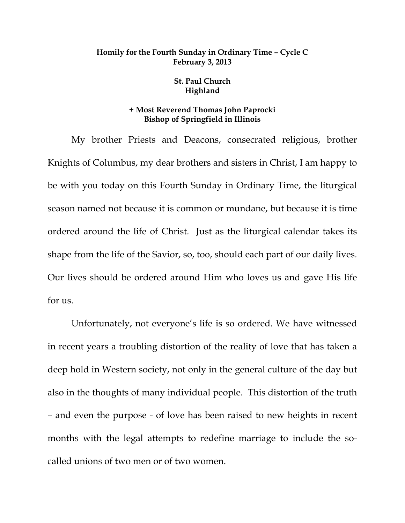## **Homily for the Fourth Sunday in Ordinary Time – Cycle C February 3, 2013**

## **St. Paul Church Highland**

## **+ Most Reverend Thomas John Paprocki Bishop of Springfield in Illinois**

 My brother Priests and Deacons, consecrated religious, brother Knights of Columbus, my dear brothers and sisters in Christ, I am happy to be with you today on this Fourth Sunday in Ordinary Time, the liturgical season named not because it is common or mundane, but because it is time ordered around the life of Christ. Just as the liturgical calendar takes its shape from the life of the Savior, so, too, should each part of our daily lives. Our lives should be ordered around Him who loves us and gave His life for us.

 Unfortunately, not everyone's life is so ordered. We have witnessed in recent years a troubling distortion of the reality of love that has taken a deep hold in Western society, not only in the general culture of the day but also in the thoughts of many individual people. This distortion of the truth – and even the purpose - of love has been raised to new heights in recent months with the legal attempts to redefine marriage to include the socalled unions of two men or of two women.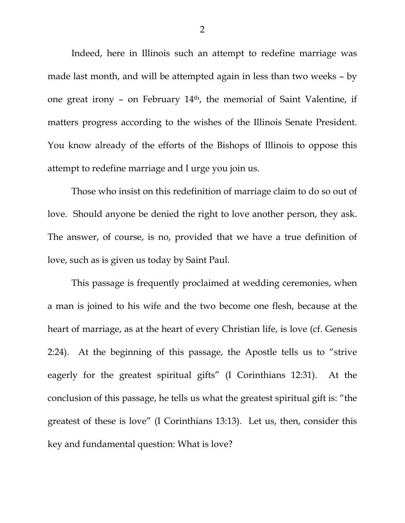Indeed, here in Illinois such an attempt to redefine marriage was made last month, and will be attempted again in less than two weeks – by one great irony – on February 14th, the memorial of Saint Valentine, if matters progress according to the wishes of the Illinois Senate President. You know already of the efforts of the Bishops of Illinois to oppose this attempt to redefine marriage and I urge you join us.

 Those who insist on this redefinition of marriage claim to do so out of love. Should anyone be denied the right to love another person, they ask. The answer, of course, is no, provided that we have a true definition of love, such as is given us today by Saint Paul.

 This passage is frequently proclaimed at wedding ceremonies, when a man is joined to his wife and the two become one flesh, because at the heart of marriage, as at the heart of every Christian life, is love (cf. Genesis 2:24). At the beginning of this passage, the Apostle tells us to "strive eagerly for the greatest spiritual gifts" (I Corinthians 12:31). At the conclusion of this passage, he tells us what the greatest spiritual gift is: "the greatest of these is love" (I Corinthians 13:13). Let us, then, consider this key and fundamental question: What is love?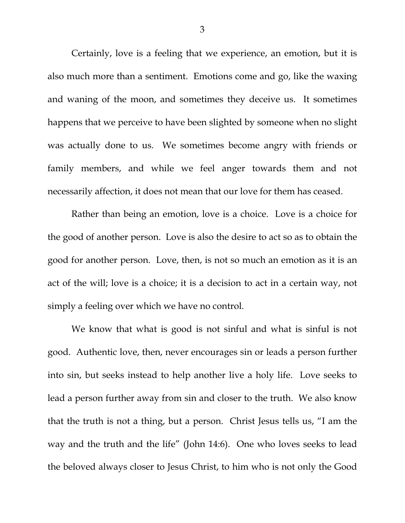Certainly, love is a feeling that we experience, an emotion, but it is also much more than a sentiment. Emotions come and go, like the waxing and waning of the moon, and sometimes they deceive us. It sometimes happens that we perceive to have been slighted by someone when no slight was actually done to us. We sometimes become angry with friends or family members, and while we feel anger towards them and not necessarily affection, it does not mean that our love for them has ceased.

 Rather than being an emotion, love is a choice. Love is a choice for the good of another person. Love is also the desire to act so as to obtain the good for another person. Love, then, is not so much an emotion as it is an act of the will; love is a choice; it is a decision to act in a certain way, not simply a feeling over which we have no control.

 We know that what is good is not sinful and what is sinful is not good. Authentic love, then, never encourages sin or leads a person further into sin, but seeks instead to help another live a holy life. Love seeks to lead a person further away from sin and closer to the truth. We also know that the truth is not a thing, but a person. Christ Jesus tells us, "I am the way and the truth and the life" (John 14:6). One who loves seeks to lead the beloved always closer to Jesus Christ, to him who is not only the Good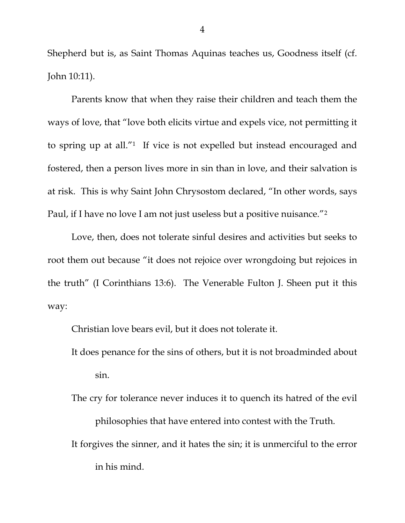Shepherd but is, as Saint Thomas Aquinas teaches us, Goodness itself (cf. John 10:11).

 Parents know that when they raise their children and teach them the ways of love, that "love both elicits virtue and expels vice, not permitting it to spring up at all."1 If vice is not expelled but instead encouraged and fostered, then a person lives more in sin than in love, and their salvation is at risk. This is why Saint John Chrysostom declared, "In other words, says Paul, if I have no love I am not just useless but a positive nuisance."2

Love, then, does not tolerate sinful desires and activities but seeks to root them out because "it does not rejoice over wrongdoing but rejoices in the truth" (I Corinthians 13:6). The Venerable Fulton J. Sheen put it this way:

Christian love bears evil, but it does not tolerate it.

- It does penance for the sins of others, but it is not broadminded about sin.
- The cry for tolerance never induces it to quench its hatred of the evil philosophies that have entered into contest with the Truth.
- It forgives the sinner, and it hates the sin; it is unmerciful to the error in his mind.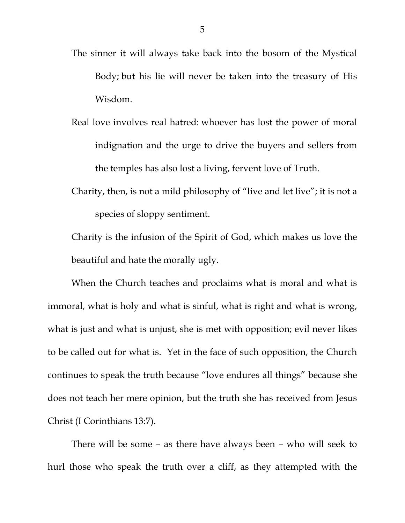- The sinner it will always take back into the bosom of the Mystical Body; but his lie will never be taken into the treasury of His Wisdom.
- Real love involves real hatred: whoever has lost the power of moral indignation and the urge to drive the buyers and sellers from the temples has also lost a living, fervent love of Truth.
- Charity, then, is not a mild philosophy of "live and let live"; it is not a species of sloppy sentiment.

Charity is the infusion of the Spirit of God, which makes us love the beautiful and hate the morally ugly.

When the Church teaches and proclaims what is moral and what is immoral, what is holy and what is sinful, what is right and what is wrong, what is just and what is unjust, she is met with opposition; evil never likes to be called out for what is. Yet in the face of such opposition, the Church continues to speak the truth because "love endures all things" because she does not teach her mere opinion, but the truth she has received from Jesus Christ (I Corinthians 13:7).

There will be some – as there have always been – who will seek to hurl those who speak the truth over a cliff, as they attempted with the